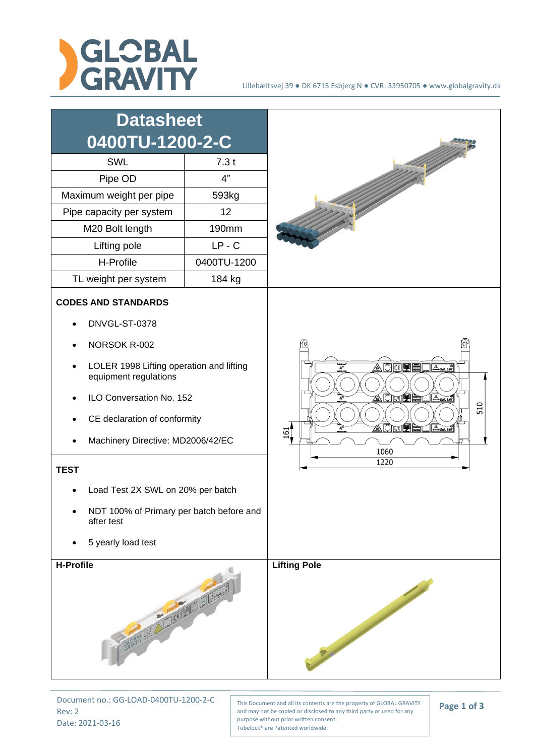



Document no.: GG-LOAD-0400TU-1200-2-C Rev: 2 Date: 2021-03-16

This Document and all its contents are the property of GLOBAL GRAVITY and may not be copied or disclosed to any third party or used for any purpose without prior written consent. Tubelock® are Patented worldwide.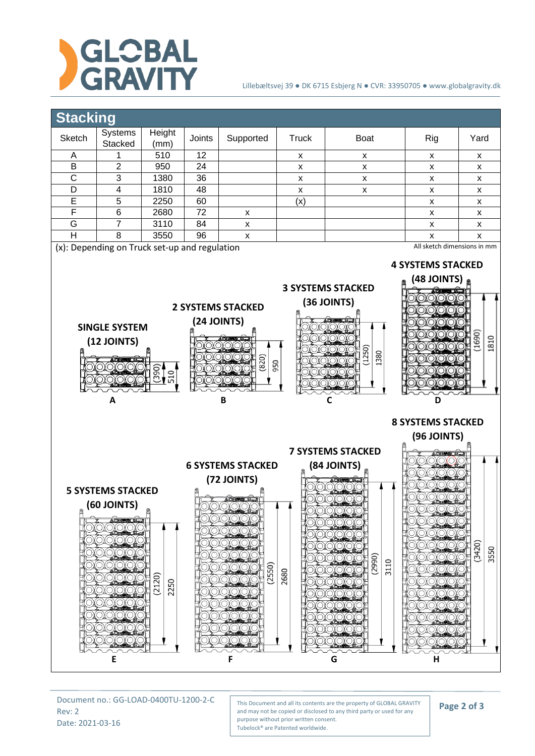

## Lillebæltsvej 39 ● DK 6715 Esbjerg N ● CVR: 33950705 ● www.globalgravity.dk



Document no.: GG-LOAD-0400TU-1200-2-C Rev: 2 Date: 2021-03-16

This Document and all its contents are the property of GLOBAL GRAVITY and may not be copied or disclosed to any third party or used for any purpose without prior written consent. Tubelock® are Patented worldwide.

## **Page 2 of 3**